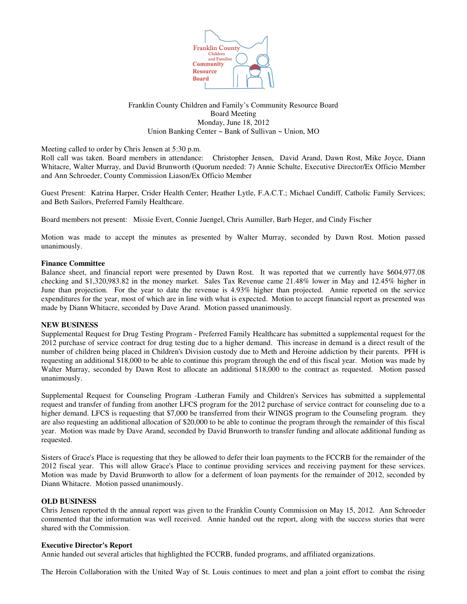

# Franklin County Children and Family's Community Resource Board Board Meeting Monday, June 18, 2012 Union Banking Center ~ Bank of Sullivan ~ Union, MO

Meeting called to order by Chris Jensen at 5:30 p.m.

Roll call was taken. Board members in attendance: Christopher Jensen, David Arand, Dawn Rost, Mike Joyce, Diann Whitacre, Walter Murray, and David Brunworth (Quorum needed: 7) Annie Schulte, Executive Director/Ex Officio Member and Ann Schroeder, County Commission Liason/Ex Officio Member

Guest Present: Katrina Harper, Crider Health Center; Heather Lytle, F.A.C.T.; Michael Cundiff, Catholic Family Services; and Beth Sailors, Preferred Family Healthcare.

Board members not present: Missie Evert, Connie Juengel, Chris Aumiller, Barb Heger, and Cindy Fischer

Motion was made to accept the minutes as presented by Walter Murray, seconded by Dawn Rost. Motion passed unanimously.

# **Finance Committee**

Balance sheet, and financial report were presented by Dawn Rost. It was reported that we currently have \$604,977.08 checking and \$1,320,983.82 in the money market. Sales Tax Revenue came 21.48% lower in May and 12.45% higher in June than projection. For the year to date the revenue is 4.93% higher than projected. Annie reported on the service expenditures for the year, most of which are in line with what is expected. Motion to accept financial report as presented was made by Diann Whitacre, seconded by Dave Arand. Motion passed unanimously.

### **NEW BUSINESS**

Supplemental Request for Drug Testing Program - Preferred Family Healthcare has submitted a supplemental request for the 2012 purchase of service contract for drug testing due to a higher demand. This increase in demand is a direct result of the number of children being placed in Children's Division custody due to Meth and Heroine addiction by their parents. PFH is requesting an additional \$18,000 to be able to continue this program through the end of this fiscal year. Motion was made by Walter Murray, seconded by Dawn Rost to allocate an additional \$18,000 to the contract as requested. Motion passed unanimously.

Supplemental Request for Counseling Program -Lutheran Family and Children's Services has submitted a supplemental request and transfer of funding from another LFCS program for the 2012 purchase of service contract for counseling due to a higher demand. LFCS is requesting that \$7,000 be transferred from their WINGS program to the Counseling program. they are also requesting an additional allocation of \$20,000 to be able to continue the program through the remainder of this fiscal year. Motion was made by Dave Arand, seconded by David Brunworth to transfer funding and allocate additional funding as requested.

Sisters of Grace's Place is requesting that they be allowed to defer their loan payments to the FCCRB for the remainder of the 2012 fiscal year. This will allow Grace's Place to continue providing services and receiving payment for these services. Motion was made by David Brunworth to allow for a deferment of loan payments for the remainder of 2012, seconded by Diann Whitacre. Motion passed unanimously.

### **OLD BUSINESS**

Chris Jensen reported th the annual report was given to the Franklin County Commission on May 15, 2012. Ann Schroeder commented that the information was well received. Annie handed out the report, along with the success stories that were shared with the Commission.

### **Executive Director's Report**

Annie handed out several articles that highlighted the FCCRB, funded programs, and affiliated organizations.

The Heroin Collaboration with the United Way of St. Louis continues to meet and plan a joint effort to combat the rising